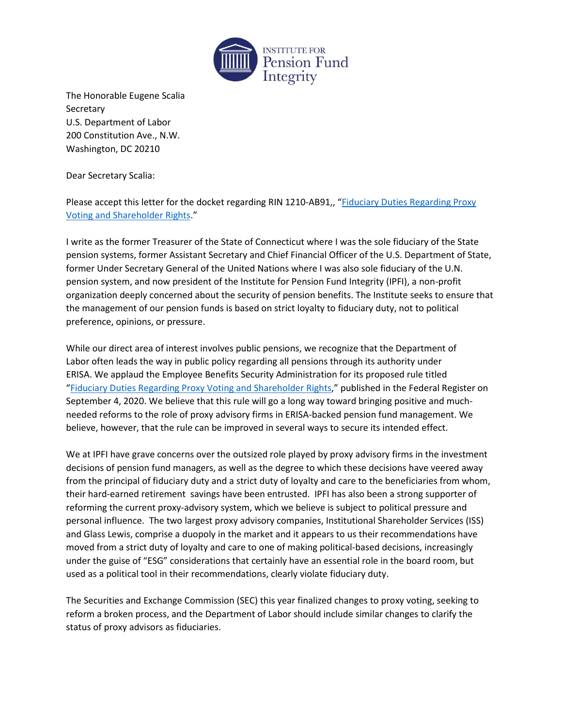

The Honorable Eugene Scalia **Secretary** U.S. Department of Labor 200 Constitution Ave., N.W. Washington, DC 20210

Dear Secretary Scalia:

Please accept this letter for the docket regarding RIN 1210-AB91,, "[Fiduciary Duties Regarding Proxy](https://www.federalregister.gov/documents/2020/09/04/2020-19472/fiduciary-duties-regarding-proxy-voting-and-shareholder-rights)  [Voting and Shareholder Rights](https://www.federalregister.gov/documents/2020/09/04/2020-19472/fiduciary-duties-regarding-proxy-voting-and-shareholder-rights)."

I write as the former Treasurer of the State of Connecticut where I was the sole fiduciary of the State pension systems, former Assistant Secretary and Chief Financial Officer of the U.S. Department of State, former Under Secretary General of the United Nations where I was also sole fiduciary of the U.N. pension system, and now president of the Institute for Pension Fund Integrity (IPFI), a non-profit organization deeply concerned about the security of pension benefits. The Institute seeks to ensure that the management of our pension funds is based on strict loyalty to fiduciary duty, not to political preference, opinions, or pressure.

While our direct area of interest involves public pensions, we recognize that the Department of Labor often leads the way in public policy regarding all pensions through its authority under ERISA. We applaud the Employee Benefits Security Administration for its proposed rule titled "[Fiduciary Duties Regarding Proxy Voting and Shareholder Rights](https://www.federalregister.gov/documents/2020/09/04/2020-19472/fiduciary-duties-regarding-proxy-voting-and-shareholder-rights)," published in the Federal Register on September 4, 2020. We believe that this rule will go a long way toward bringing positive and muchneeded reforms to the role of proxy advisory firms in ERISA-backed pension fund management. We believe, however, that the rule can be improved in several ways to secure its intended effect.

We at IPFI have grave concerns over the outsized role played by proxy advisory firms in the investment decisions of pension fund managers, as well as the degree to which these decisions have veered away from the principal of fiduciary duty and a strict duty of loyalty and care to the beneficiaries from whom, their hard-earned retirement savings have been entrusted. IPFI has also been a strong supporter of reforming the current proxy-advisory system, which we believe is subject to political pressure and personal influence. The two largest proxy advisory companies, Institutional Shareholder Services (ISS) and Glass Lewis, comprise a duopoly in the market and it appears to us their recommendations have moved from a strict duty of loyalty and care to one of making political-based decisions, increasingly under the guise of "ESG" considerations that certainly have an essential role in the board room, but used as a political tool in their recommendations, clearly violate fiduciary duty.

The Securities and Exchange Commission (SEC) this year finalized changes to proxy voting, seeking to reform a broken process, and the Department of Labor should include similar changes to clarify the status of proxy advisors as fiduciaries.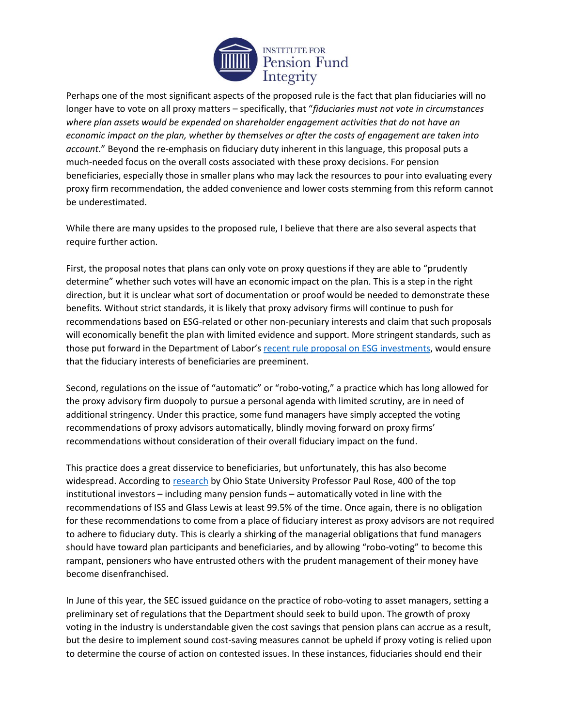

Perhaps one of the most significant aspects of the proposed rule is the fact that plan fiduciaries will no longer have to vote on all proxy matters – specifically, that "*fiduciaries must not vote in circumstances where plan assets would be expended on shareholder engagement activities that do not have an economic impact on the plan, whether by themselves or after the costs of engagement are taken into account*." Beyond the re-emphasis on fiduciary duty inherent in this language, this proposal puts a much-needed focus on the overall costs associated with these proxy decisions. For pension beneficiaries, especially those in smaller plans who may lack the resources to pour into evaluating every proxy firm recommendation, the added convenience and lower costs stemming from this reform cannot be underestimated.

While there are many upsides to the proposed rule, I believe that there are also several aspects that require further action.

First, the proposal notes that plans can only vote on proxy questions if they are able to "prudently determine" whether such votes will have an economic impact on the plan. This is a step in the right direction, but it is unclear what sort of documentation or proof would be needed to demonstrate these benefits. Without strict standards, it is likely that proxy advisory firms will continue to push for recommendations based on ESG-related or other non-pecuniary interests and claim that such proposals will economically benefit the plan with limited evidence and support. More stringent standards, such as those put forward in the Department of Labor's [recent rule proposal on ESG investments,](https://www.regulations.gov/document?D=EBSA-2020-0004-0002) would ensure that the fiduciary interests of beneficiaries are preeminent.

Second, regulations on the issue of "automatic" or "robo-voting," a practice which has long allowed for the proxy advisory firm duopoly to pursue a personal agenda with limited scrutiny, are in need of additional stringency. Under this practice, some fund managers have simply accepted the voting recommendations of proxy advisors automatically, blindly moving forward on proxy firms' recommendations without consideration of their overall fiduciary impact on the fund.

This practice does a great disservice to beneficiaries, but unfortunately, this has also become widespread. According to [research](https://papers.ssrn.com/sol3/papers.cfm?abstract_id=3486322) by Ohio State University Professor Paul Rose, 400 of the top institutional investors – including many pension funds – automatically voted in line with the recommendations of ISS and Glass Lewis at least 99.5% of the time. Once again, there is no obligation for these recommendations to come from a place of fiduciary interest as proxy advisors are not required to adhere to fiduciary duty. This is clearly a shirking of the managerial obligations that fund managers should have toward plan participants and beneficiaries, and by allowing "robo-voting" to become this rampant, pensioners who have entrusted others with the prudent management of their money have become disenfranchised.

In June of this year, the SEC issued guidance on the practice of robo-voting to asset managers, setting a preliminary set of regulations that the Department should seek to build upon. The growth of proxy voting in the industry is understandable given the cost savings that pension plans can accrue as a result, but the desire to implement sound cost-saving measures cannot be upheld if proxy voting is relied upon to determine the course of action on contested issues. In these instances, fiduciaries should end their